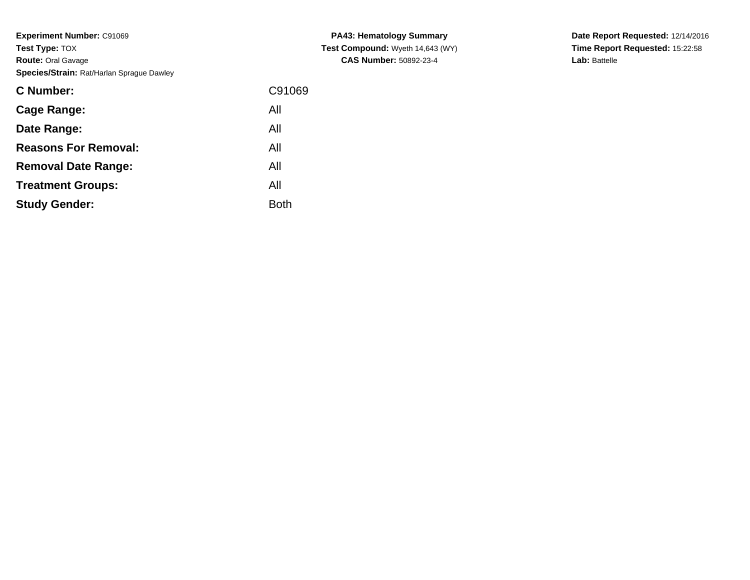**Experiment Number:** C91069**Test Type:** TOX **Route:** Oral Gavage**Species/Strain:** Rat/Harlan Sprague Dawley

| <b>C</b> Number:            | C91069      |
|-----------------------------|-------------|
| Cage Range:                 | All         |
| Date Range:                 | All         |
| <b>Reasons For Removal:</b> | All         |
| <b>Removal Date Range:</b>  | All         |
| <b>Treatment Groups:</b>    | All         |
| <b>Study Gender:</b>        | <b>Both</b> |
|                             |             |

**PA43: Hematology Summary Test Compound:** Wyeth 14,643 (WY)**CAS Number:** 50892-23-4

**Date Report Requested:** 12/14/2016 **Time Report Requested:** 15:22:58**Lab:** Battelle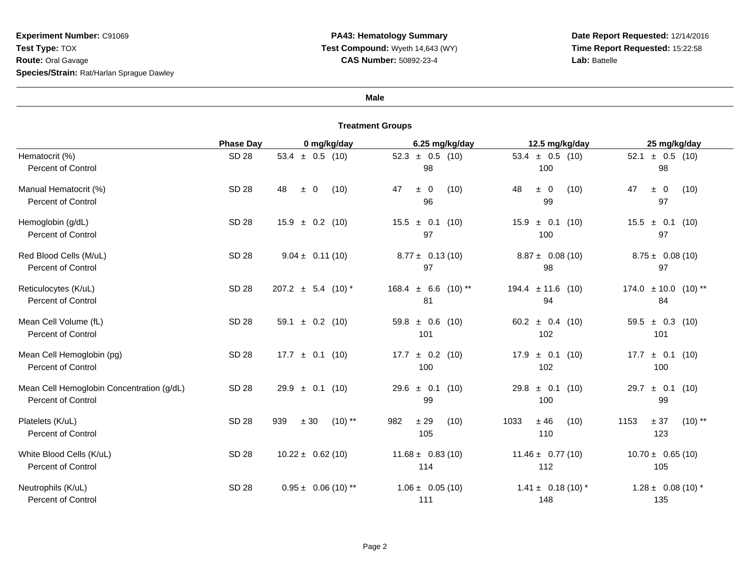# **Experiment Number:** C91069**Test Type:** TOX **Route:** Oral Gavage**Species/Strain:** Rat/Harlan Sprague Dawley

#### **Male**

|                                                                        | <b>Phase Day</b> | 0 mg/kg/day                  | 6.25 mg/kg/day                 | 12.5 mg/kg/day                  | 25 mg/kg/day                         |
|------------------------------------------------------------------------|------------------|------------------------------|--------------------------------|---------------------------------|--------------------------------------|
| Hematocrit (%)<br>Percent of Control                                   | <b>SD 28</b>     | 53.4 $\pm$ 0.5 (10)          | $52.3 \pm 0.5$ (10)<br>98      | 53.4 $\pm$ 0.5 (10)<br>100      | 52.1<br>$\pm$ 0.5 (10)<br>98         |
| Manual Hematocrit (%)<br><b>Percent of Control</b>                     | <b>SD 28</b>     | (10)<br>48<br>$\pm$ 0        | (10)<br>47<br>$\pm$ 0<br>96    | 48<br>$\pm 0$<br>(10)<br>99     | 47<br>$\pm$ 0<br>(10)<br>97          |
| Hemoglobin (g/dL)<br><b>Percent of Control</b>                         | SD 28            | $15.9 \pm 0.2$ (10)          | $15.5 \pm 0.1$ (10)<br>97      | $\pm$ 0.1 (10)<br>15.9<br>100   | $\pm$ 0.1 (10)<br>15.5<br>97         |
| Red Blood Cells (M/uL)<br><b>Percent of Control</b>                    | <b>SD 28</b>     | $9.04 \pm 0.11(10)$          | $8.77 \pm 0.13(10)$<br>97      | $8.87 \pm 0.08(10)$<br>98       | $8.75 \pm 0.08(10)$<br>97            |
| Reticulocytes (K/uL)<br><b>Percent of Control</b>                      | <b>SD 28</b>     | $207.2 \pm 5.4 (10)^*$       | $168.4 \pm 6.6$ (10) **<br>81  | $194.4 \pm 11.6$ (10)<br>94     | $174.0 \pm 10.0$ (10) **<br>84       |
| Mean Cell Volume (fL)<br><b>Percent of Control</b>                     | <b>SD 28</b>     | 59.1 $\pm$ 0.2 (10)          | $59.8 \pm 0.6$ (10)<br>101     | 60.2 $\pm$ 0.4 (10)<br>102      | $\pm$ 0.3 (10)<br>59.5<br>101        |
| Mean Cell Hemoglobin (pg)<br><b>Percent of Control</b>                 | <b>SD 28</b>     | $17.7 \pm 0.1$ (10)          | $\pm$ 0.2 (10)<br>17.7<br>100  | 17.9<br>$\pm$ 0.1 (10)<br>102   | 17.7<br>$\pm$ 0.1 (10)<br>100        |
| Mean Cell Hemoglobin Concentration (g/dL)<br><b>Percent of Control</b> | SD 28            | $29.9 \pm 0.1$ (10)          | $29.6 \pm 0.1$ (10)<br>99      | $\pm$ 0.1 (10)<br>29.8<br>100   | $\pm$ 0.1 (10)<br>29.7<br>99         |
| Platelets (K/uL)<br><b>Percent of Control</b>                          | <b>SD 28</b>     | $(10)$ **<br>939<br>$\pm$ 30 | $\pm$ 29<br>982<br>(10)<br>105 | $\pm$ 46<br>1033<br>(10)<br>110 | $(10)$ **<br>1153<br>$\pm$ 37<br>123 |
| White Blood Cells (K/uL)<br><b>Percent of Control</b>                  | SD 28            | $10.22 \pm 0.62(10)$         | $11.68 \pm 0.83(10)$<br>114    | $11.46 \pm 0.77(10)$<br>112     | $10.70 \pm 0.65(10)$<br>105          |
| Neutrophils (K/uL)<br><b>Percent of Control</b>                        | <b>SD 28</b>     | $0.95 \pm 0.06$ (10) **      | $1.06 \pm 0.05(10)$<br>111     | $1.41 \pm 0.18(10)^*$<br>148    | $1.28 \pm 0.08(10)^*$<br>135         |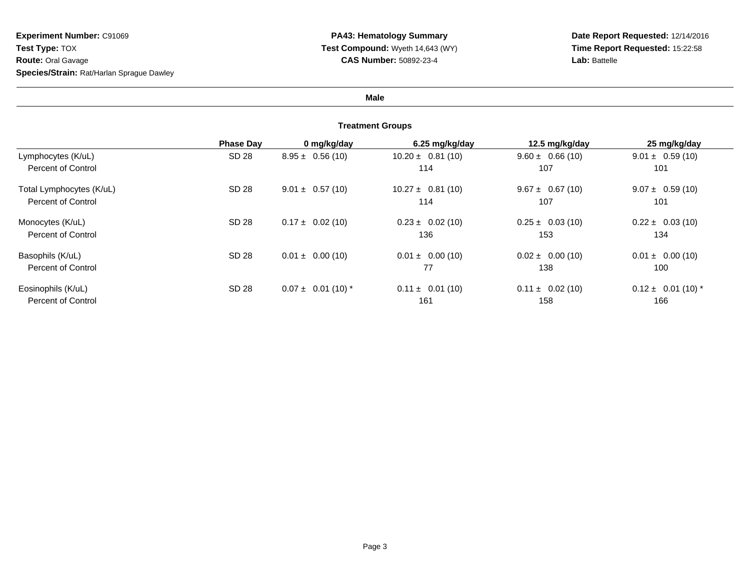### **Male**

|                          | <b>Phase Day</b> | 0 mg/kg/day            | 6.25 mg/kg/day       | 12.5 mg/kg/day       | 25 mg/kg/day           |
|--------------------------|------------------|------------------------|----------------------|----------------------|------------------------|
| Lymphocytes (K/uL)       | SD 28            | $8.95 \pm 0.56(10)$    | $10.20 \pm 0.81(10)$ | $9.60 \pm 0.66(10)$  | $9.01 \pm 0.59(10)$    |
| Percent of Control       |                  |                        | 114                  | 107                  | 101                    |
| Total Lymphocytes (K/uL) | SD 28            | $9.01 \pm 0.57(10)$    | $10.27 \pm 0.81(10)$ | $9.67 \pm 0.67(10)$  | $9.07 \pm 0.59(10)$    |
| Percent of Control       |                  |                        | 114                  | 107                  | 101                    |
| Monocytes (K/uL)         | SD 28            | $0.17 \pm 0.02$ (10)   | $0.23 \pm 0.02$ (10) | $0.25 \pm 0.03(10)$  | $0.22 \pm 0.03(10)$    |
| Percent of Control       |                  |                        | 136                  | 153                  | 134                    |
| Basophils (K/uL)         | SD 28            | $0.01 \pm 0.00$ (10)   | $0.01 \pm 0.00$ (10) | $0.02 \pm 0.00$ (10) | $0.01 \pm 0.00$ (10)   |
| Percent of Control       |                  |                        | 77                   | 138                  | 100                    |
| Eosinophils (K/uL)       | SD 28            | $0.07 \pm 0.01$ (10) * | $0.11 \pm 0.01(10)$  | $0.11 \pm 0.02$ (10) | $0.12 \pm 0.01$ (10) * |
| Percent of Control       |                  |                        | 161                  | 158                  | 166                    |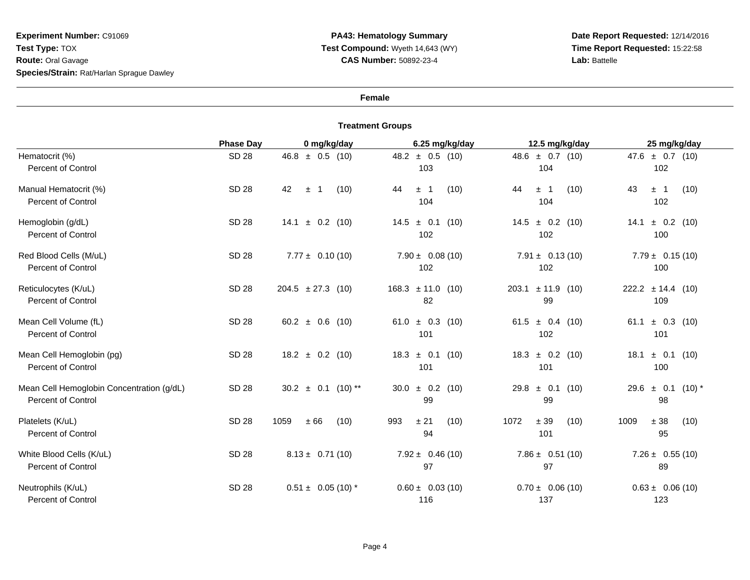### **Female**

|                                                                        | <b>Phase Day</b> | 0 mg/kg/day               | 6.25 mg/kg/day                | 12.5 mg/kg/day                  | 25 mg/kg/day                        |
|------------------------------------------------------------------------|------------------|---------------------------|-------------------------------|---------------------------------|-------------------------------------|
| Hematocrit (%)<br><b>Percent of Control</b>                            | <b>SD 28</b>     | $46.8 \pm 0.5$ (10)       | $48.2 \pm 0.5$ (10)<br>103    | $48.6 \pm 0.7$ (10)<br>104      | $47.6 \pm 0.7$ (10)<br>102          |
| Manual Hematocrit (%)<br><b>Percent of Control</b>                     | <b>SD 28</b>     | 42<br>(10)<br>$\pm$<br>-1 | (10)<br>44<br>$\pm$ 1<br>104  | 44<br>(10)<br>$\pm$ 1<br>104    | 43<br>$\pm$ 1<br>(10)<br>102        |
| Hemoglobin (g/dL)<br><b>Percent of Control</b>                         | SD 28            | $\pm$ 0.2 (10)<br>14.1    | $14.5 \pm 0.1$ (10)<br>102    | $14.5 \pm 0.2$ (10)<br>102      | $\pm$ 0.2 (10)<br>14.1<br>100       |
| Red Blood Cells (M/uL)<br><b>Percent of Control</b>                    | <b>SD 28</b>     | $7.77 \pm 0.10(10)$       | $7.90 \pm 0.08(10)$<br>102    | $7.91 \pm 0.13(10)$<br>102      | $7.79 \pm 0.15(10)$<br>100          |
| Reticulocytes (K/uL)<br><b>Percent of Control</b>                      | SD 28            | $204.5 \pm 27.3$ (10)     | $168.3 \pm 11.0$ (10)<br>82   | $203.1 \pm 11.9$<br>(10)<br>99  | $222.2 \pm 14.4$ (10)<br>109        |
| Mean Cell Volume (fL)<br><b>Percent of Control</b>                     | <b>SD 28</b>     | 60.2 $\pm$ 0.6 (10)       | 61.0 $\pm$ 0.3 (10)<br>101    | 61.5<br>$\pm$ 0.4 (10)<br>102   | $\pm$ 0.3 (10)<br>61.1<br>101       |
| Mean Cell Hemoglobin (pg)<br><b>Percent of Control</b>                 | <b>SD 28</b>     | $18.2 \pm 0.2$ (10)       | $\pm$ 0.1 (10)<br>18.3<br>101 | $\pm$ 0.2 (10)<br>18.3<br>101   | 18.1<br>$\pm$ 0.1<br>(10)<br>100    |
| Mean Cell Hemoglobin Concentration (g/dL)<br><b>Percent of Control</b> | <b>SD 28</b>     | 30.2<br>$\pm$ 0.1 (10) ** | $30.0 \pm 0.2$ (10)<br>99     | $\pm$ 0.1<br>29.8<br>(10)<br>99 | 29.6<br>$\pm$ 0.1<br>$(10)^*$<br>98 |
| Platelets (K/uL)<br><b>Percent of Control</b>                          | SD 28            | 1059<br>$\pm 66$<br>(10)  | 993<br>± 21<br>(10)<br>94     | 1072<br>$\pm$ 39<br>(10)<br>101 | $\pm$ 38<br>1009<br>(10)<br>95      |
| White Blood Cells (K/uL)<br><b>Percent of Control</b>                  | SD 28            | $8.13 \pm 0.71(10)$       | $7.92 \pm 0.46(10)$<br>97     | $7.86 \pm 0.51(10)$<br>97       | $7.26 \pm 0.55(10)$<br>89           |
| Neutrophils (K/uL)<br><b>Percent of Control</b>                        | <b>SD 28</b>     | $0.51 \pm 0.05$ (10) *    | $0.60 \pm 0.03(10)$<br>116    | $0.70 \pm 0.06(10)$<br>137      | $0.63 \pm 0.06(10)$<br>123          |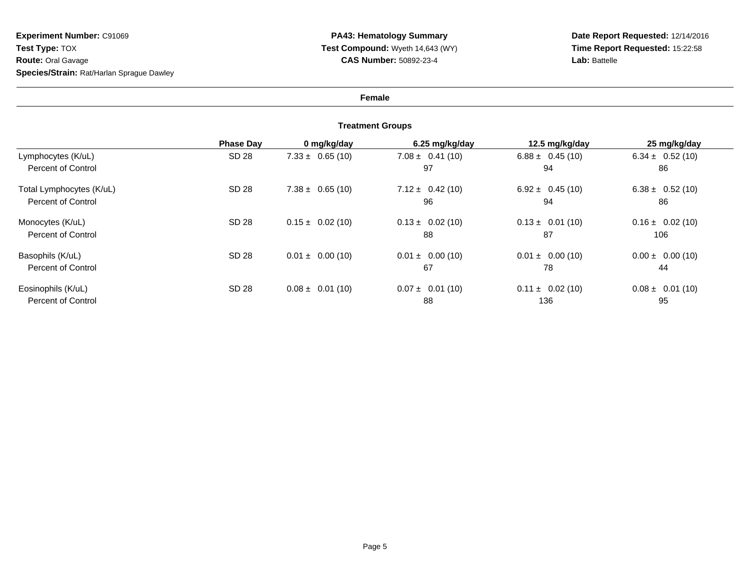# **Female**

|                          | <b>Phase Day</b> | 0 mg/kg/day          | 6.25 mg/kg/day       | 12.5 mg/kg/day       | 25 mg/kg/day         |
|--------------------------|------------------|----------------------|----------------------|----------------------|----------------------|
| Lymphocytes (K/uL)       | SD 28            | $7.33 \pm 0.65(10)$  | $7.08 \pm 0.41(10)$  | $6.88 \pm 0.45(10)$  | $6.34 \pm 0.52(10)$  |
| Percent of Control       |                  |                      | 97                   | 94                   | 86                   |
| Total Lymphocytes (K/uL) | SD 28            | $7.38 \pm 0.65(10)$  | $7.12 \pm 0.42(10)$  | $6.92 \pm 0.45(10)$  | $6.38 \pm 0.52(10)$  |
| Percent of Control       |                  |                      | 96                   | 94                   | 86                   |
| Monocytes (K/uL)         | SD 28            | $0.15 \pm 0.02$ (10) | $0.13 \pm 0.02$ (10) | $0.13 \pm 0.01$ (10) | $0.16 \pm 0.02$ (10) |
| Percent of Control       |                  |                      | 88                   | 87                   | 106                  |
| Basophils (K/uL)         | SD 28            | $0.01 \pm 0.00$ (10) | $0.01 \pm 0.00$ (10) | $0.01 \pm 0.00$ (10) | $0.00 \pm 0.00$ (10) |
| Percent of Control       |                  |                      | 67                   | 78                   | 44                   |
| Eosinophils (K/uL)       | SD 28            | $0.08 \pm 0.01$ (10) | $0.07 \pm 0.01$ (10) | $0.11 \pm 0.02$ (10) | $0.08 \pm 0.01(10)$  |
| Percent of Control       |                  |                      | 88                   | 136                  | 95                   |